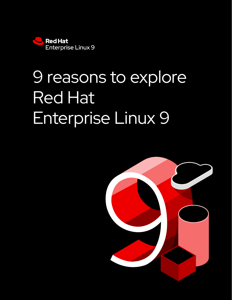

# 9 reasons to explore Red Hat Enterprise Linux 9

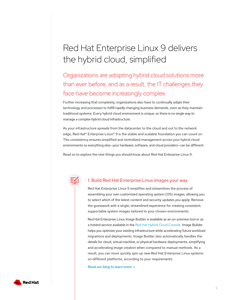# Red Hat Enterprise Linux 9 delivers the hybrid cloud, simplified

## Organizations are adopting hybrid cloud solutions more than ever before, and as a result, the IT challenges they face have become increasingly complex.

Further increasing that complexity, organizations also have to continually adapt their technology and processes to fulfill rapidly changing business demands, even as they maintain traditional systems. Every hybrid cloud environment is unique, so there is no single way to manage a complex hybrid cloud infrastructure.

As your infrastructure spreads from the datacenter to the cloud and out to the network edge, Red Hat® Enterprise Linux® 9 is the stable and scalable foundation you can count on. This consistency ensures simplified and centralized management across your hybrid cloud environments so everything else—your hardware, software, and cloud providers—can be different.

Read on to explore the nine things you should know about Red Hat Enterprise Linux 9.



#### 1. Build Red Hat Enterprise Linux images your way

Red Hat Enterprise Linux 9 simplifies and streamlines the process of assembling your own customized operating system (OS) images, allowing you to select which of the latest content and security updates you apply. Remove the guesswork with a single, streamlined experience for creating consistent, supportable system images tailored to your chosen environments.

Red Hat Enterprise Linux Image Builder is available as an on-premise tool or as a hosted service available in the [Red Hat Hybrid Cloud Console.](http://console.redhat.com/insights/image-builder) Image Builder helps you optimize your existing infrastructure while accelerating future workload migrations and deployments. Image Builder also automatically handles the details for cloud, virtual machine, or physical hardware deployments, simplifying and accelerating image creation when compared to manual methods. As a result, you can more quickly spin up new Red Hat Enterprise Linux systems on different platforms, according to your requirements.

[Read our blog to learn more](https://red.ht/blog-image-builder)  $\rightarrow$ 

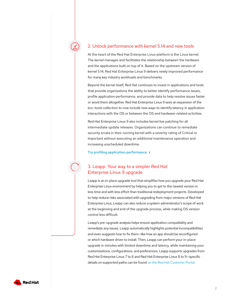#### 2. Unlock performance with kernel 5.14 and new tools

At the heart of the Red Hat Enterprise Linux platform is the Linux kernel. The kernel manages and facilitates the relationship between the hardware and the applications built on top of it. Based on the upstream version of kernel 5.14, Red Hat Enterprise Linux 9 delivers newly improved performance for many key industry workloads and benchmarks.

Beyond the kernel itself, Red Hat continues to invest in applications and tools that provide organizations the ability to better identify performance issues, profile application performance, and provide data to help resolve issues faster or avoid them altogether. Red Hat Enterprise Linux 9 sees an expansion of the bcc-tools collection to now include new ways to identify latency in application interactions with the OS or between the OS and hardware-related activities.

Red Hat Enterprise Linux 9 also includes kernel live patching for all intermediate update releases. Organizations can continue to remediate security errata in their running kernel with a severity rating of Critical or Important without executing an additional maintenance operation and increasing unscheduled downtime.

[Try profiling application performance](https://lab.redhat.com/ebpf-tracing)  $\rightarrow$ 

#### 3. Leapp: Your way to a simpler Red Hat Enterprise Linux 9 upgrade

Leapp is an in-place upgrade tool that simplifies how you upgrade your Red Hat Enterprise Linux environment by helping you to get to the newest version in less time and with less effort than traditional redeployment projects. Developed to help reduce risks associated with upgrading from major versions of Red Hat Enterprise Linux, Leapp can also reduce a system administrator's scope of work at the beginning and end of the upgrade process, while making OS version control less difficult.

Leapp's pre-upgrade analysis helps ensure application compatibility and remediate any issues. Leapp automatically highlights potential incompatibilities and even suggests how to fix them—like how an app should be reconfigured or which hardware driver to install. Then, Leapp can perform your in-place upgrade in minutes with limited downtime and latency, while maintaining your customizations, configurations, and preferences. Leapp supports upgrades from Red Hat Enterprise Linux 7 to 8 and Red Hat Enterprise Linux 8 to 9—specific details on supported paths can be found on the Red Hat Customer Portal.

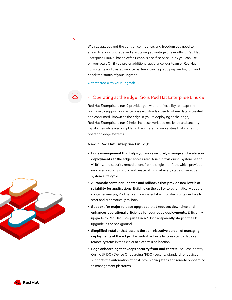With Leapp, you get the control, confidence, and freedom you need to streamline your upgrade and start taking advantage of everything Red Hat Enterprise Linux 9 has to offer. Leapp is a self-service utility you can use on your own. Or, if you prefer additional assistance, our team of Red Hat consultants and trusted service partners can help you prepare for, run, and check the status of your upgrade.

[Get started with your upgrade](https://access.redhat.com/documentation/en-us/red_hat_enterprise_linux/8/html/upgrading_from_rhel_7_to_rhel_8/assembly_preparing-for-the-upgrade_upgrading-from-rhel-7-to-rhel-8)  $\rightarrow$ 

### 4. Operating at the edge? So is Red Hat Enterprise Linux 9

Red Hat Enterprise Linux 9 provides you with the flexibility to adapt the platform to support your enterprise workloads close to where data is created and consumed—known as the edge. If you're deploying at the edge, Red Hat Enterprise Linux 9 helps increase workload resilience and security capabilities while also simplifying the inherent complexities that come with operating edge systems.

#### New in Red Hat Enterprise Linux 9:

- Edge management that helps you more securely manage and scale your deployments at the edge: Access zero-touch provisioning, system health visibility, and security remediations from a single interface, which provides improved security control and peace of mind at every stage of an edge system's life cycle.
- Automatic container updates and rollbacks that provide new levels of reliability for applications: Building on the ability to automatically update container images, Podman can now detect if an updated container fails to start and automatically rollback.
- Support for major release upgrades that reduces downtime and enhances operational efficiency for your edge deployments: Efficiently upgrade to Red Hat Enterprise Linux 9 by transparently staging the OS upgrade in the background.
- Simplified installer that lessens the administrative burden of managing deployments at the edge: The centralized installer consistently deploys remote systems in the field or at a centralized location.
- Edge onboarding that keeps security front and center: The Fast Identity Online (FIDO) Device Onboarding (FDO) security standard for devices supports the automation of post-provisioning steps and remote onboarding to management platforms.



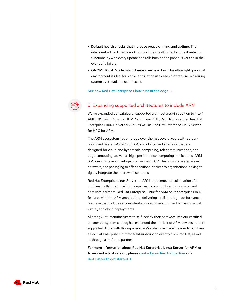- Default health checks that increase peace of mind and uptime: The intelligent rollback framework now includes health checks to test network functionality with every update and rolls back to the previous version in the event of a failure.
- GNOME Kiosk Mode, which keeps overhead low: This ultra-light graphical environment is ideal for single-application use cases that require minimizing system overhead and user access.

[See how Red Hat Enterprise Linux runs at the edge](https://www.redhat.com/en/technologies/linux-platforms/enterprise-linux/edge-computing)

#### 5. Expanding supported architectures to include ARM

We've expanded our catalog of supported architectures—in addition to Intel/ AMD x86\_64, IBM Power, IBM Z and LinuxONE, Red Hat has added Red Hat Enterprise Linux Server for ARM as well as Red Hat Enterprise Linux Server for HPC for ARM.

The ARM ecosystem has emerged over the last several years with serveroptimized System-On-Chip (SoC) products, and solutions that are designed for cloud and hyperscale computing, telecommunications, and edge computing, as well as high-performance computing applications. ARM SoC designs take advantage of advances in CPU technology, system-level hardware, and packaging to offer additional choices to organizations looking to tightly integrate their hardware solutions.

Red Hat Enterprise Linux Server for ARM represents the culmination of a multiyear collaboration with the upstream community and our silicon and hardware partners. Red Hat Enterprise Linux for ARM pairs enterprise Linux features with the ARM architecture, delivering a reliable, high-performance platform that includes a consistent application environment across physical, virtual, and cloud deployments.

Allowing ARM manufacturers to self-certify their hardware into our certified partner ecosystem catalog has expanded the number of ARM devices that are supported. Along with this expansion, we've also now made it easier to purchase a Red Hat Enterprise Linux for ARM subscription directly from Red Hat, as well as through a preferred partner.

For more information about Red Hat Enterprise Linux Server for ARM or to request a trial version, please [contact your Red Hat partner](https://www.redhat.com/en/partners#find-a-partner) or a [Red Hatter to get started](https://red.ht/RHELforARM)  $\rightarrow$ 

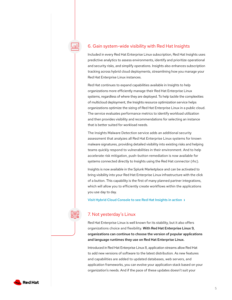#### 6. Gain system-wide visibility with Red Hat Insights

Included in every Red Hat Enterprise Linux subscription, Red Hat Insights uses predictive analytics to assess environments, identify and prioritize operational and security risks, and simplify operations. Insights also enhances subscription tracking across hybrid cloud deployments, streamlining how you manage your Red Hat Enterprise Linux instances.

Red Hat continues to expand capabilities available in Insights to help organizations more efficiently manage their Red Hat Enterprise Linux systems, regardless of where they are deployed. To help tackle the complexities of multicloud deployment, the Insights resource optimization service helps organizations optimize the sizing of Red Hat Enterprise Linux in a public cloud. The service evaluates performance metrics to identify workload utilization and then provides visibility and recommendations for selecting an instance that is better suited for workload needs.

The Insights Malware Detection service adds an additional security assessment that analyzes all Red Hat Enterprise Linux systems for known malware signatures, providing detailed visibility into existing risks and helping teams quickly respond to vulnerabilities in their environment. And to help accelerate risk mitigation, push-button remediation is now available for systems connected directly to Insights using the Red Hat connector (rhc).

Insights is now available in the Splunk Marketplace and can be activated to bring visibility into your Red Hat Enterprise Linux infrastructure with the click of a button. This capability is the first of many planned partner integrations, which will allow you to efficiently create workflows within the applications you use day to day.

[Visit Hybrid Cloud Console to see Red Hat Insights in action](https://console.redhat.com/)

#### 7. Not yesterday's Linux

Red Hat Enterprise Linux is well known for its stability, but it also offers organizations choice and flexibility. With Red Hat Enterprise Linux 9, organizations can continue to choose the version of popular applications and language runtimes they use on Red Hat Enterprise Linux.

Introduced in Red Hat Enterprise Linux 8, application streams allow Red Hat to add new versions of software to the latest distribution. As new features and capabilities are added to updated databases, web servers, and application frameworks, you can evolve your application stack based on your organization's needs. And if the pace of these updates doesn't suit your

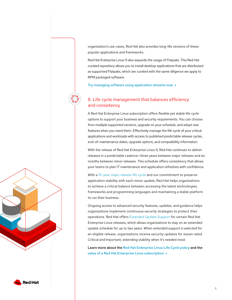organization's use cases, Red Hat also provides long-life versions of these popular applications and frameworks.

Red Hat Enterprise Linux 9 also expands the usage of Flatpaks. This Red Hat curated repository allows you to install desktop applications that are distributed as supported Flatpaks, which are curated with the same diligence we apply to RPM packaged software.

[Try managing software using application streams now](https://lab.redhat.com/appstream-manage)

#### 8. Life cycle management that balances efficiency and consistency

A Red Hat Enterprise Linux subscription offers flexible yet stable life cycle options to support your business and security requirements. You can choose from multiple supported versions, upgrade on your schedule, and adopt new features when you need them. Effectively manage the life cycle of your critical applications and workloads with access to published predictable release cycles, end-of-maintenance dates, upgrade options, and compatibility information.

With the release of Red Hat Enterprise Linux 9, Red Hat continues to deliver releases in a predictable cadence—three years between major releases and six months between minor releases. This schedule offers consistency that allows your teams to plan IT maintenance and application refreshes with confidence.

With a [10-year major release life cycle](https://access.redhat.com/support/policy/updates/errata) and our commitment to preserve application stability with each minor update, Red Hat helps organizations to achieve a critical balance between accessing the latest technologies, frameworks and programming languages and maintaining a stable platform to run their business.

Ongoing access to advanced security features, updates, and guidance helps organizations implement continuous security strategies to protect their operations. Red Hat offers [Extended Update Support](https://red.ht/EUS) for certain Red Hat Enterprise Linux releases, which allows organizations to stay on an extended update schedule for up to two years. When extended support is selected for an eligible release, organizations receive security updates for issues rated Critical and Important, extending stability when it's needed most.

Learn more about the [Red Hat Enterprise Linux Life Cycle](https://access.redhat.com/support/policy/updates/errata) policy and the [value of a Red Hat Enterprise Linux subscription](https://engage.redhat.com/discover-more?percmp=7013a000002pwQdAAI#RHEL)  $\rightarrow$